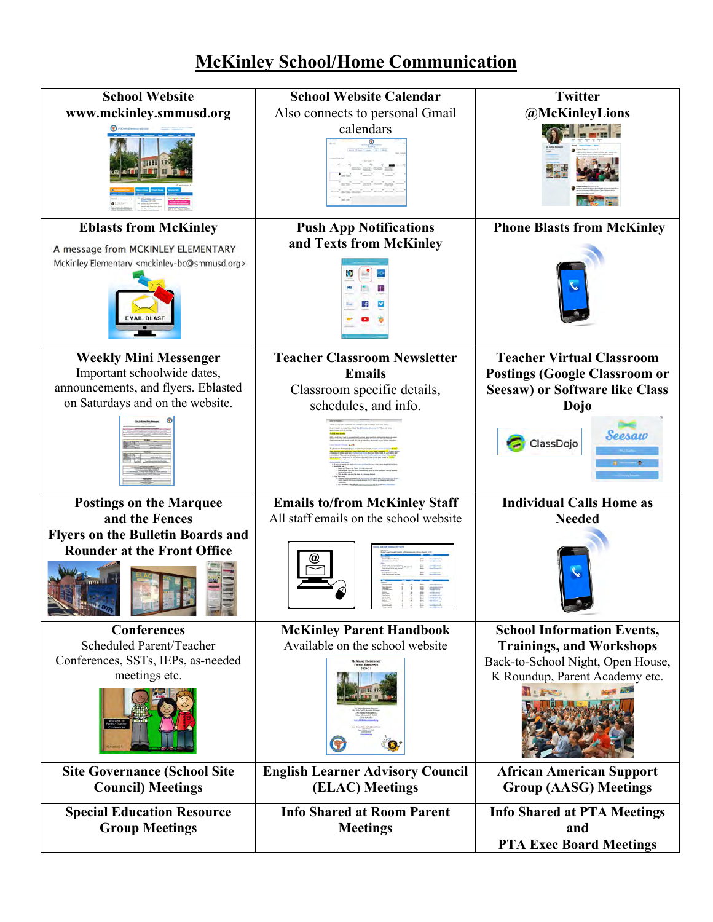## **McKinley School/Home Communication**

| <b>School Website</b>                                                          | <b>School Website Calendar</b>                       | <b>Twitter</b>                                                              |
|--------------------------------------------------------------------------------|------------------------------------------------------|-----------------------------------------------------------------------------|
| www.mckinley.smmusd.org                                                        | Also connects to personal Gmail                      | @McKinleyLions                                                              |
|                                                                                | calendars                                            |                                                                             |
| <b>Eblasts from McKinley</b>                                                   | <b>Push App Notifications</b>                        | <b>Phone Blasts from McKinley</b>                                           |
| A message from MCKINLEY ELEMENTARY                                             | and Texts from McKinley                              |                                                                             |
| McKinley Elementary <mckinley-bc@smmusd.org></mckinley-bc@smmusd.org>          |                                                      |                                                                             |
| <b>Weekly Mini Messenger</b>                                                   | <b>Teacher Classroom Newsletter</b>                  | <b>Teacher Virtual Classroom</b>                                            |
| Important schoolwide dates,                                                    | <b>Emails</b>                                        | <b>Postings (Google Classroom or</b>                                        |
| announcements, and flyers. Eblasted                                            | Classroom specific details,                          | <b>Seesaw) or Software like Class</b>                                       |
| on Saturdays and on the website.                                               | schedules, and info.                                 | Dojo                                                                        |
|                                                                                |                                                      | Seesaw<br>ClassDojo                                                         |
| <b>Postings on the Marquee</b>                                                 | <b>Emails to/from McKinley Staff</b>                 | <b>Individual Calls Home as</b>                                             |
| and the Fences                                                                 | All staff emails on the school website               | <b>Needed</b>                                                               |
| <b>Flyers on the Bulletin Boards and</b><br><b>Rounder at the Front Office</b> |                                                      |                                                                             |
| <b>Conferences</b>                                                             | <b>McKinley Parent Handbook</b>                      | <b>School Information Events,</b>                                           |
| Scheduled Parent/Teacher                                                       | Available on the school website                      | <b>Trainings, and Workshops</b>                                             |
| Conferences, SSTs, IEPs, as-needed                                             | <b>deKinley Element</b><br>Parent Handboot           | Back-to-School Night, Open House,                                           |
| meetings etc.                                                                  |                                                      | K Roundup, Parent Academy etc.<br>MI PE                                     |
| <b>Site Governance (School Site</b>                                            | <b>English Learner Advisory Council</b>              | <b>African American Support</b>                                             |
| <b>Council) Meetings</b>                                                       | (ELAC) Meetings                                      | <b>Group (AASG) Meetings</b>                                                |
| <b>Special Education Resource</b><br><b>Group Meetings</b>                     | <b>Info Shared at Room Parent</b><br><b>Meetings</b> | <b>Info Shared at PTA Meetings</b><br>and<br><b>PTA Exec Board Meetings</b> |